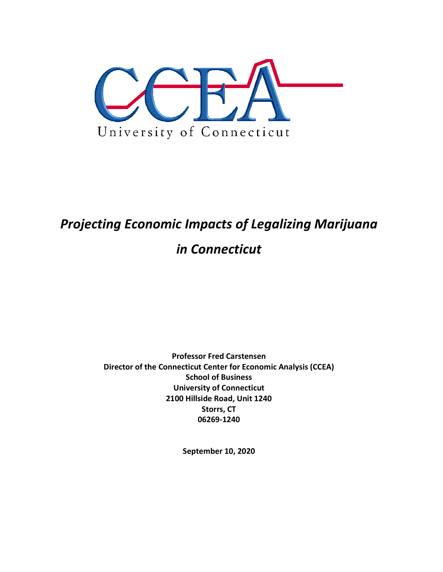

# *Projecting Economic Impacts of Legalizing Marijuana*

## *in Connecticut*

**Professor Fred Carstensen Director of the Connecticut Center for Economic Analysis (CCEA) School of Business University of Connecticut 2100 Hillside Road, Unit 1240 Storrs, CT 06269-1240**

**September 10, 2020**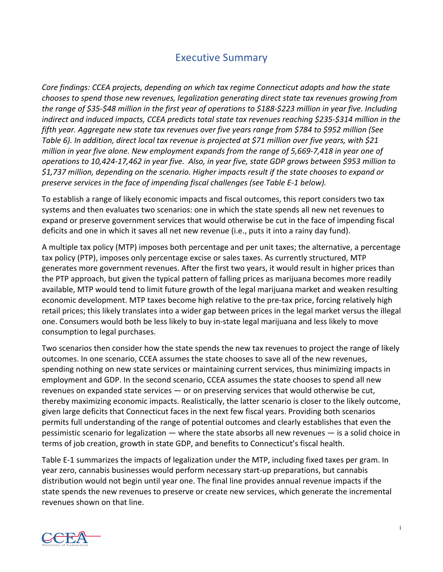## Executive Summary

*Core findings: CCEA projects, depending on which tax regime Connecticut adopts and how the state chooses to spend those new revenues, legalization generating direct state tax revenues growing from* the range of \$35-\$48 million in the first year of operations to \$188-\$223 million in year five. Including *indirect and induced impacts, CCEA predicts total state tax revenues reaching \$235-\$314 million in the fifth year. Aggregate new state tax revenues over five years range from \$784 to \$952 million (See* Table 6). In addition, direct local tax revenue is projected at \$71 million over five years, with \$21 *million in year five alone. New employment expands from the range of 5,669-7,418 in year one of operations to 10,424-17,462 in year five. Also, in year five, state GDP grows between \$953 million to \$1,737 million, depending on the scenario. Higher impacts result if the state chooses to expand or preserve services in the face of impending fiscal challenges (see Table E-1 below).*

To establish a range of likely economic impacts and fiscal outcomes, this report considers two tax systems and then evaluates two scenarios: one in which the state spends all new net revenues to expand or preserve government services that would otherwise be cut in the face of impending fiscal deficits and one in which it saves all net new revenue (i.e., puts it into a rainy day fund).

A multiple tax policy (MTP) imposes both percentage and per unit taxes; the alternative, a percentage tax policy (PTP), imposes only percentage excise or sales taxes. As currently structured, MTP generates more government revenues. After the first two years, it would result in higher prices than the PTP approach, but given the typical pattern of falling prices as marijuana becomes more readily available, MTP would tend to limit future growth of the legal marijuana market and weaken resulting economic development. MTP taxes become high relative to the pre-tax price, forcing relatively high retail prices; this likely translates into a wider gap between prices in the legal market versus the illegal one. Consumers would both be less likely to buy in-state legal marijuana and less likely to move consumption to legal purchases.

Two scenarios then consider how the state spends the new tax revenues to project the range of likely outcomes. In one scenario, CCEA assumes the state chooses to save all of the new revenues, spending nothing on new state services or maintaining current services, thus minimizing impacts in employment and GDP. In the second scenario, CCEA assumes the state chooses to spend all new revenues on expanded state services — or on preserving services that would otherwise be cut, thereby maximizing economic impacts. Realistically, the latter scenario is closer to the likely outcome, given large deficits that Connecticut faces in the next few fiscal years. Providing both scenarios permits full understanding of the range of potential outcomes and clearly establishes that even the pessimistic scenario for legalization  $-$  where the state absorbs all new revenues  $-$  is a solid choice in terms of job creation, growth in state GDP, and benefits to Connecticut's fiscal health.

Table E-1 summarizes the impacts of legalization under the MTP, including fixed taxes per gram. In year zero, cannabis businesses would perform necessary start-up preparations, but cannabis distribution would not begin until year one. The final line provides annual revenue impacts if the state spends the new revenues to preserve or create new services, which generate the incremental revenues shown on that line.

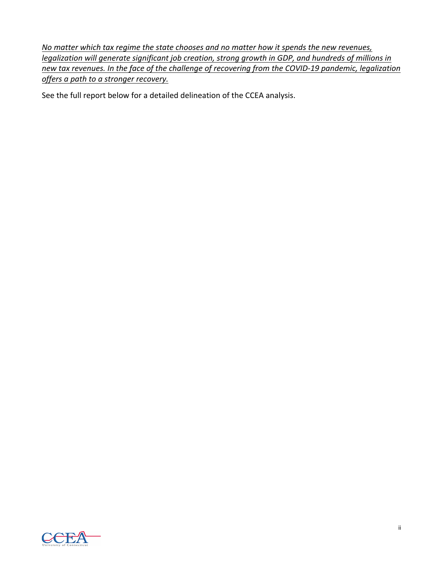*No* matter which tax regime the state chooses and no matter how it spends the new revenues, *legalization will generate significant job creation, strong growth in GDP, and hundreds of millions in new tax revenues. In the face of the challenge of recovering from the COVID-19 pandemic, legalization offers a path to a stronger recovery.*

See the full report below for a detailed delineation of the CCEA analysis.

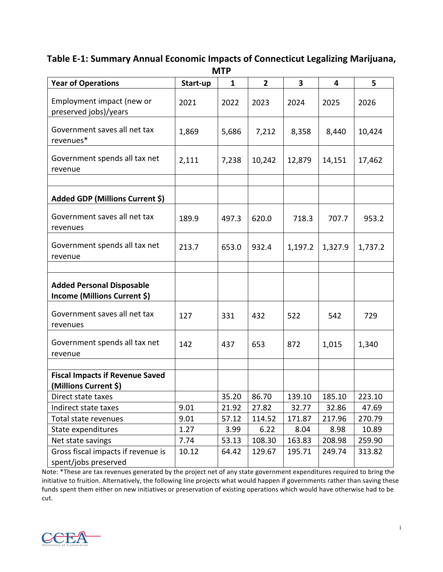#### **Table E-1: Summary Annual Economic Impacts of Connecticut Legalizing Marijuana, MTP**

| <b>Year of Operations</b>                                        | Start-up | $\mathbf{1}$ | $\overline{2}$ | 3       | 4       | 5       |
|------------------------------------------------------------------|----------|--------------|----------------|---------|---------|---------|
| Employment impact (new or<br>preserved jobs)/years               | 2021     | 2022         | 2023           | 2024    | 2025    | 2026    |
| Government saves all net tax<br>revenues*                        | 1,869    | 5,686        | 7,212          | 8,358   | 8,440   | 10,424  |
| Government spends all tax net<br>revenue                         | 2,111    | 7,238        | 10,242         | 12,879  | 14,151  | 17,462  |
|                                                                  |          |              |                |         |         |         |
| Added GDP (Millions Current \$)                                  |          |              |                |         |         |         |
| Government saves all net tax<br>revenues                         | 189.9    | 497.3        | 620.0          | 718.3   | 707.7   | 953.2   |
| Government spends all tax net<br>revenue                         | 213.7    | 653.0        | 932.4          | 1,197.2 | 1,327.9 | 1,737.2 |
| <b>Added Personal Disposable</b><br>Income (Millions Current \$) |          |              |                |         |         |         |
| Government saves all net tax<br>revenues                         | 127      | 331          | 432            | 522     | 542     | 729     |
| Government spends all tax net<br>revenue                         | 142      | 437          | 653            | 872     | 1,015   | 1,340   |
|                                                                  |          |              |                |         |         |         |
| <b>Fiscal Impacts if Revenue Saved</b><br>(Millions Current \$)  |          |              |                |         |         |         |
| Direct state taxes                                               |          | 35.20        | 86.70          | 139.10  | 185.10  | 223.10  |
| Indirect state taxes                                             | 9.01     | 21.92        | 27.82          | 32.77   | 32.86   | 47.69   |
| Total state revenues                                             | 9.01     | 57.12        | 114.52         | 171.87  | 217.96  | 270.79  |
| State expenditures                                               | 1.27     | 3.99         | 6.22           | 8.04    | 8.98    | 10.89   |
| Net state savings                                                | 7.74     | 53.13        | 108.30         | 163.83  | 208.98  | 259.90  |
| Gross fiscal impacts if revenue is<br>spent/jobs preserved       | 10.12    | 64.42        | 129.67         | 195.71  | 249.74  | 313.82  |

Note: \*These are tax revenues generated by the project net of any state government expenditures required to bring the initiative to fruition. Alternatively, the following line projects what would happen if governments rather than saving these funds spent them either on new initiatives or preservation of existing operations which would have otherwise had to be cut.

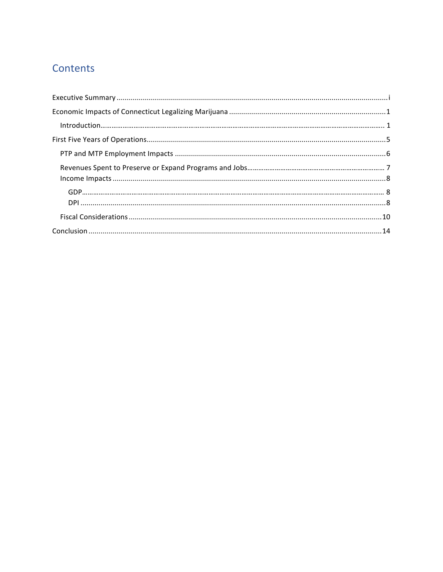## Contents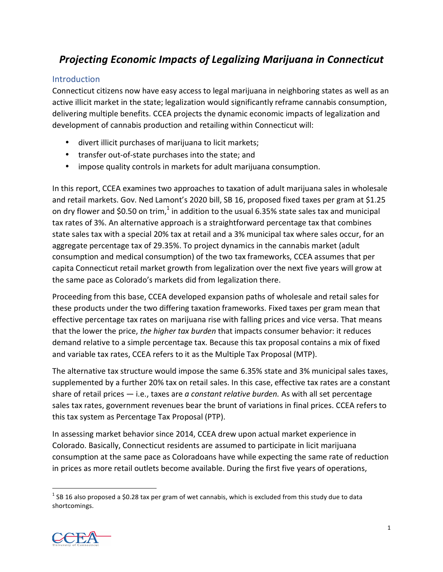## *Projecting Economic Impacts of Legalizing Marijuana in Connecticut*

#### Introduction

Connecticut citizens now have easy access to legal marijuana in neighboring states as well as an active illicit market in the state; legalization would significantly reframe cannabis consumption, delivering multiple benefits. CCEA projects the dynamic economic impacts of legalization and development of cannabis production and retailing within Connecticut will:

- divert illicit purchases of marijuana to licit markets;
- transfer out-of-state purchases into the state; and
- impose quality controls in markets for adult marijuana consumption.

In this report, CCEA examines two approaches to taxation of adult marijuana sales in wholesale and retail markets. Gov. Ned Lamont's 2020 bill, SB 16, proposed fixed taxes per gram at \$1.25 on dry flower and \$0.50 on trim,<sup>1</sup> in addition to the usual 6.35% state sales tax and municipal tax rates of 3%. An alternative approach is a straightforward percentage tax that combines state sales tax with a special 20% tax at retail and a 3% municipal tax where sales occur, for an aggregate percentage tax of 29.35%. To project dynamics in the cannabis market (adult consumption and medical consumption) of the two tax frameworks, CCEA assumes that per capita Connecticut retail market growth from legalization over the next five years will grow at the same pace as Colorado's markets did from legalization there.

Proceeding from this base, CCEA developed expansion paths of wholesale and retail sales for these products under the two differing taxation frameworks. Fixed taxes per gram mean that effective percentage tax rates on marijuana rise with falling prices and vice versa. That means that the lower the price, *the higher tax burden* that impacts consumer behavior: it reduces demand relative to a simple percentage tax. Because this tax proposal contains a mix of fixed and variable tax rates, CCEA refers to it as the Multiple Tax Proposal (MTP).

The alternative tax structure would impose the same 6.35% state and 3% municipal sales taxes, supplemented by a further 20% tax on retail sales. In this case, effective tax rates are a constant share of retail prices — i.e., taxes are *a constant relative burden.* As with all set percentage sales tax rates, government revenues bear the brunt of variations in final prices. CCEA refers to this tax system as Percentage Tax Proposal (PTP).

In assessing market behavior since 2014, CCEA drew upon actual market experience in Colorado. Basically, Connecticut residents are assumed to participate in licit marijuana consumption at the same pace as Coloradoans have while expecting the same rate of reduction in prices as more retail outlets become available. During the first five years of operations,

 $1$  SB 16 also proposed a \$0.28 tax per gram of wet cannabis, which is excluded from this study due to data shortcomings.

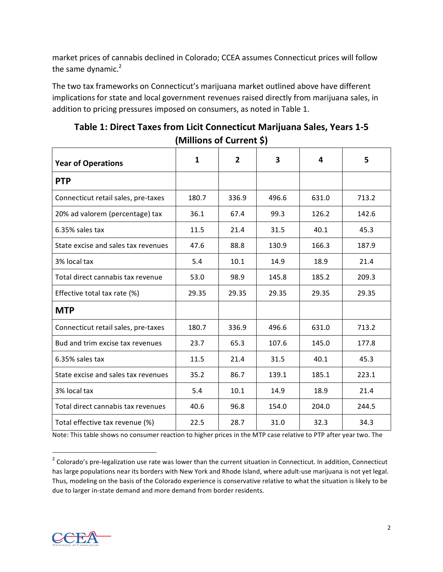market prices of cannabis declined in Colorado; CCEA assumes Connecticut prices will follow the same dynamic.<sup>2</sup>

The two tax frameworks on Connecticut's marijuana market outlined above have different implications for state and local government revenues raised directly from marijuana sales, in addition to pricing pressures imposed on consumers, as noted in Table 1.

| <b>Year of Operations</b>           | $\mathbf{1}$ | $\overline{2}$ | 3     | 4     | 5     |
|-------------------------------------|--------------|----------------|-------|-------|-------|
| <b>PTP</b>                          |              |                |       |       |       |
| Connecticut retail sales, pre-taxes | 180.7        | 336.9          | 496.6 | 631.0 | 713.2 |
| 20% ad valorem (percentage) tax     | 36.1         | 67.4           | 99.3  | 126.2 | 142.6 |
| 6.35% sales tax                     | 11.5         | 21.4           | 31.5  | 40.1  | 45.3  |
| State excise and sales tax revenues | 47.6         | 88.8           | 130.9 | 166.3 | 187.9 |
| 3% local tax                        | 5.4          | 10.1           | 14.9  | 18.9  | 21.4  |
| Total direct cannabis tax revenue   | 53.0         | 98.9           | 145.8 | 185.2 | 209.3 |
| Effective total tax rate (%)        | 29.35        | 29.35          | 29.35 | 29.35 | 29.35 |
| <b>MTP</b>                          |              |                |       |       |       |
| Connecticut retail sales, pre-taxes | 180.7        | 336.9          | 496.6 | 631.0 | 713.2 |
| Bud and trim excise tax revenues    | 23.7         | 65.3           | 107.6 | 145.0 | 177.8 |
| 6.35% sales tax                     | 11.5         | 21.4           | 31.5  | 40.1  | 45.3  |
| State excise and sales tax revenues | 35.2         | 86.7           | 139.1 | 185.1 | 223.1 |
| 3% local tax                        | 5.4          | 10.1           | 14.9  | 18.9  | 21.4  |
| Total direct cannabis tax revenues  | 40.6         | 96.8           | 154.0 | 204.0 | 244.5 |
| Total effective tax revenue (%)     | 22.5         | 28.7           | 31.0  | 32.3  | 34.3  |

| Table 1: Direct Taxes from Licit Connecticut Marijuana Sales, Years 1-5 |  |
|-------------------------------------------------------------------------|--|
| (Millions of Current \$)                                                |  |

Note: This table shows no consumer reaction to higher prices in the MTP case relative to PTP after year two. The



 $\overline{a}$ 

 $2$  Colorado's pre-legalization use rate was lower than the current situation in Connecticut. In addition, Connecticut has large populations near its borders with New York and Rhode Island, where adult-use marijuana is not yet legal. Thus, modeling on the basis of the Colorado experience is conservative relative to what the situation is likely to be due to larger in-state demand and more demand from border residents.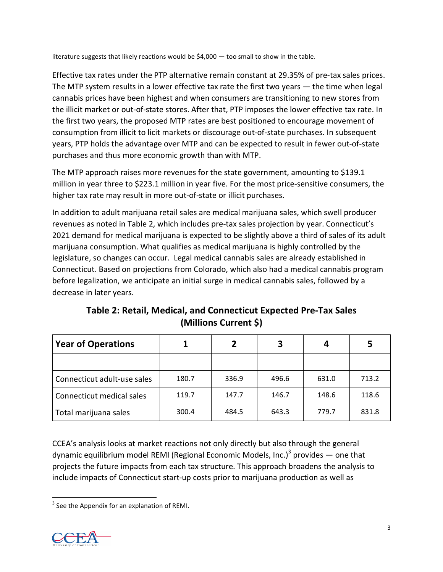literature suggests that likely reactions would be \$4,000 — too small to show in the table.

Effective tax rates under the PTP alternative remain constant at 29.35% of pre-tax sales prices. The MTP system results in a lower effective tax rate the first two years — the time when legal cannabis prices have been highest and when consumers are transitioning to new stores from the illicit market or out-of-state stores. After that, PTP imposes the lower effective tax rate. In the first two years, the proposed MTP rates are best positioned to encourage movement of consumption from illicit to licit markets or discourage out-of-state purchases. In subsequent years, PTP holds the advantage over MTP and can be expected to result in fewer out-of-state purchases and thus more economic growth than with MTP.

The MTP approach raises more revenues for the state government, amounting to \$139.1 million in year three to \$223.1 million in year five. For the most price-sensitive consumers, the higher tax rate may result in more out-of-state or illicit purchases.

In addition to adult marijuana retail sales are medical marijuana sales, which swell producer revenues as noted in Table 2, which includes pre-tax sales projection by year. Connecticut's 2021 demand for medical marijuana is expected to be slightly above a third of sales of its adult marijuana consumption. What qualifies as medical marijuana is highly controlled by the legislature, so changes can occur. Legal medical cannabis sales are already established in Connecticut. Based on projections from Colorado, which also had a medical cannabis program before legalization, we anticipate an initial surge in medical cannabis sales, followed by a decrease in later years.

**Table 2: Retail, Medical, and Connecticut Expected Pre-Tax Sales (Millions Current \$)**

| <b>Year of Operations</b>   |       |       | З     | 4     | 5     |
|-----------------------------|-------|-------|-------|-------|-------|
|                             |       |       |       |       |       |
| Connecticut adult-use sales | 180.7 | 336.9 | 496.6 | 631.0 | 713.2 |
| Connecticut medical sales   | 119.7 | 147.7 | 146.7 | 148.6 | 118.6 |
| Total marijuana sales       | 300.4 | 484.5 | 643.3 | 779.7 | 831.8 |

CCEA's analysis looks at market reactions not only directly but also through the general dynamic equilibrium model REMI (Regional Economic Models, Inc.)<sup>3</sup> provides  $-$  one that projects the future impacts from each tax structure. This approach broadens the analysis to include impacts of Connecticut start-up costs prior to marijuana production as well as

 $3$  See the Appendix for an explanation of REMI.

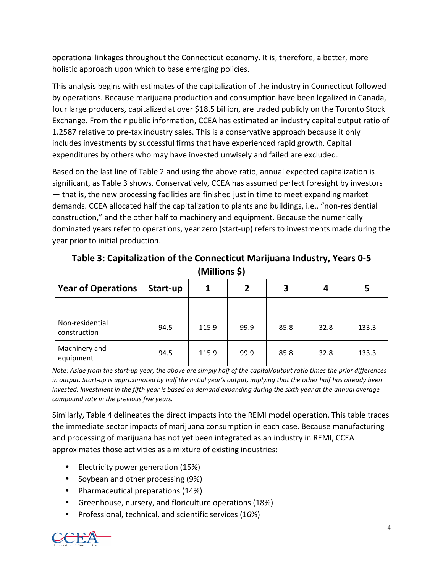operational linkages throughout the Connecticut economy. It is, therefore, a better, more holistic approach upon which to base emerging policies.

This analysis begins with estimates of the capitalization of the industry in Connecticut followed by operations. Because marijuana production and consumption have been legalized in Canada, four large producers, capitalized at over \$18.5 billion, are traded publicly on the Toronto Stock Exchange. From their public information, CCEA has estimated an industry capital output ratio of 1.2587 relative to pre-tax industry sales. This is a conservative approach because it only includes investments by successful firms that have experienced rapid growth. Capital expenditures by others who may have invested unwisely and failed are excluded.

Based on the last line of Table 2 and using the above ratio, annual expected capitalization is significant, as Table 3 shows. Conservatively, CCEA has assumed perfect foresight by investors — that is, the new processing facilities are finished just in time to meet expanding market demands. CCEA allocated half the capitalization to plants and buildings, i.e., "non-residential construction," and the other half to machinery and equipment. Because the numerically dominated years refer to operations, year zero (start-up) refers to investments made during the year prior to initial production.

| <b>Year of Operations</b>       | Start-up |       | $\overline{2}$ | 3    | 4    | 5     |
|---------------------------------|----------|-------|----------------|------|------|-------|
|                                 |          |       |                |      |      |       |
| Non-residential<br>construction | 94.5     | 115.9 | 99.9           | 85.8 | 32.8 | 133.3 |
| Machinery and<br>equipment      | 94.5     | 115.9 | 99.9           | 85.8 | 32.8 | 133.3 |

**Table 3: Capitalization of the Connecticut Marijuana Industry, Years 0-5 (Millions \$)**

Note: Aside from the start-up year, the above are simply half of the capital/output ratio times the prior differences in output. Start-up is approximated by half the initial year's output, implying that the other half has already been invested. Investment in the fifth year is based on demand expanding during the sixth year at the annual average *compound rate in the previous five years.*

Similarly, Table 4 delineates the direct impacts into the REMI model operation. This table traces the immediate sector impacts of marijuana consumption in each case. Because manufacturing and processing of marijuana has not yet been integrated as an industry in REMI, CCEA approximates those activities as a mixture of existing industries:

- Electricity power generation (15%)
- Soybean and other processing (9%)
- Pharmaceutical preparations (14%)
- Greenhouse, nursery, and floriculture operations (18%)
- Professional, technical, and scientific services (16%)

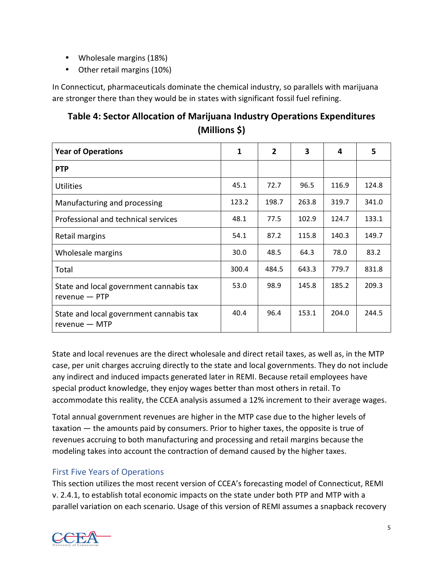- Wholesale margins (18%)
- Other retail margins (10%)

In Connecticut, pharmaceuticals dominate the chemical industry, so parallels with marijuana are stronger there than they would be in states with significant fossil fuel refining.

## **Table 4: Sector Allocation of Marijuana Industry Operations Expenditures (Millions \$)**

| <b>Year of Operations</b>                                  | 1     | $\overline{2}$ | 3     | 4     | 5     |
|------------------------------------------------------------|-------|----------------|-------|-------|-------|
| <b>PTP</b>                                                 |       |                |       |       |       |
| <b>Utilities</b>                                           | 45.1  | 72.7           | 96.5  | 116.9 | 124.8 |
| Manufacturing and processing                               | 123.2 | 198.7          | 263.8 | 319.7 | 341.0 |
| Professional and technical services                        | 48.1  | 77.5           | 102.9 | 124.7 | 133.1 |
| Retail margins                                             | 54.1  | 87.2           | 115.8 | 140.3 | 149.7 |
| Wholesale margins                                          | 30.0  | 48.5           | 64.3  | 78.0  | 83.2  |
| Total                                                      | 300.4 | 484.5          | 643.3 | 779.7 | 831.8 |
| State and local government cannabis tax<br>$revenue - PTP$ | 53.0  | 98.9           | 145.8 | 185.2 | 209.3 |
| State and local government cannabis tax<br>$revenue - MTP$ | 40.4  | 96.4           | 153.1 | 204.0 | 244.5 |

State and local revenues are the direct wholesale and direct retail taxes, as well as, in the MTP case, per unit charges accruing directly to the state and local governments. They do not include any indirect and induced impacts generated later in REMI. Because retail employees have special product knowledge, they enjoy wages better than most others in retail. To accommodate this reality, the CCEA analysis assumed a 12% increment to their average wages.

Total annual government revenues are higher in the MTP case due to the higher levels of taxation — the amounts paid by consumers. Prior to higher taxes, the opposite is true of revenues accruing to both manufacturing and processing and retail margins because the modeling takes into account the contraction of demand caused by the higher taxes.

#### First Five Years of Operations

This section utilizes the most recent version of CCEA's forecasting model of Connecticut, REMI v. 2.4.1, to establish total economic impacts on the state under both PTP and MTP with a parallel variation on each scenario. Usage of this version of REMI assumes a snapback recovery

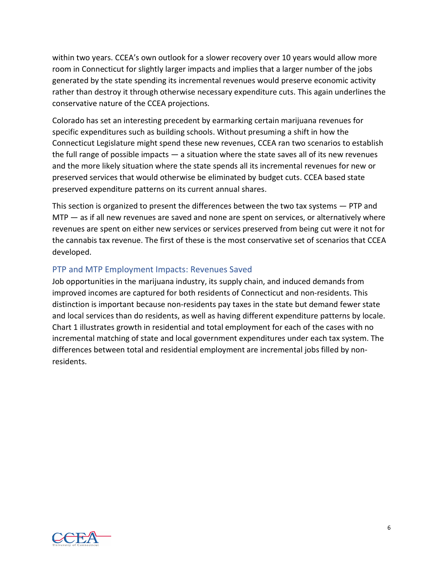within two years. CCEA's own outlook for a slower recovery over 10 years would allow more room in Connecticut for slightly larger impacts and implies that a larger number of the jobs generated by the state spending its incremental revenues would preserve economic activity rather than destroy it through otherwise necessary expenditure cuts. This again underlines the conservative nature of the CCEA projections.

Colorado has set an interesting precedent by earmarking certain marijuana revenues for specific expenditures such as building schools. Without presuming a shift in how the Connecticut Legislature might spend these new revenues, CCEA ran two scenarios to establish the full range of possible impacts — a situation where the state saves all of its new revenues and the more likely situation where the state spends all its incremental revenues for new or preserved services that would otherwise be eliminated by budget cuts. CCEA based state preserved expenditure patterns on its current annual shares.

This section is organized to present the differences between the two tax systems — PTP and MTP — as if all new revenues are saved and none are spent on services, or alternatively where revenues are spent on either new services or services preserved from being cut were it not for the cannabis tax revenue. The first of these is the most conservative set of scenarios that CCEA developed.

#### PTP and MTP Employment Impacts: Revenues Saved

Job opportunities in the marijuana industry, its supply chain, and induced demands from improved incomes are captured for both residents of Connecticut and non-residents. This distinction is important because non-residents pay taxes in the state but demand fewer state and local services than do residents, as well as having different expenditure patterns by locale. Chart 1 illustrates growth in residential and total employment for each of the cases with no incremental matching of state and local government expenditures under each tax system. The differences between total and residential employment are incremental jobs filled by nonresidents.

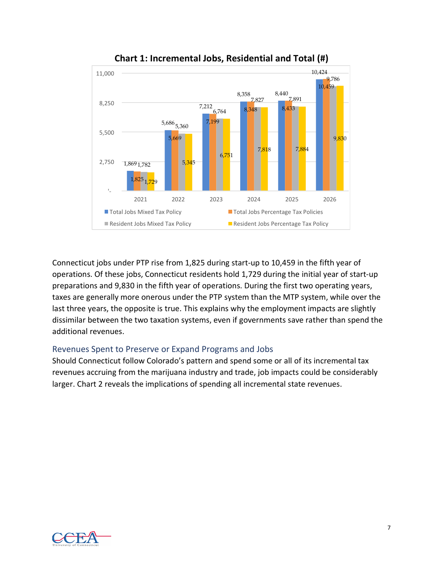



Connecticut jobs under PTP rise from 1,825 during start-up to 10,459 in the fifth year of operations. Of these jobs, Connecticut residents hold 1,729 during the initial year of start-up preparations and 9,830 in the fifth year of operations. During the first two operating years, taxes are generally more onerous under the PTP system than the MTP system, while over the last three years, the opposite is true. This explains why the employment impacts are slightly dissimilar between the two taxation systems, even if governments save rather than spend the additional revenues.

#### Revenues Spent to Preserve or Expand Programs and Jobs

Should Connecticut follow Colorado's pattern and spend some or all of its incremental tax revenues accruing from the marijuana industry and trade, job impacts could be considerably larger. Chart 2 reveals the implications of spending all incremental state revenues.

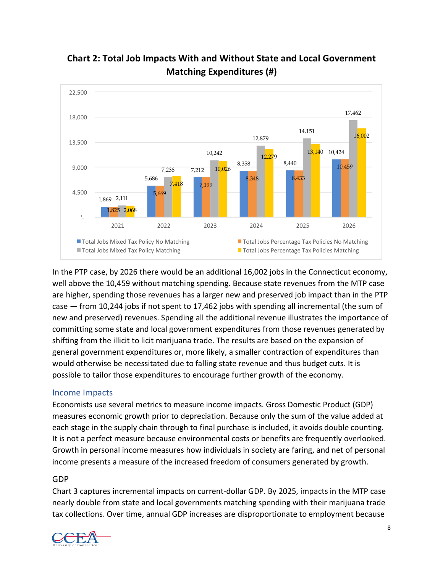

## **Chart 2: Total Job Impacts With and Without State and Local Government Matching Expenditures (#)**

In the PTP case, by 2026 there would be an additional 16,002 jobs in the Connecticut economy, well above the 10,459 without matching spending. Because state revenues from the MTP case are higher, spending those revenues has a larger new and preserved job impact than in the PTP case — from 10,244 jobs if not spent to 17,462 jobs with spending all incremental (the sum of new and preserved) revenues. Spending all the additional revenue illustrates the importance of committing some state and local government expenditures from those revenues generated by shifting from the illicit to licit marijuana trade. The results are based on the expansion of general government expenditures or, more likely, a smaller contraction of expenditures than would otherwise be necessitated due to falling state revenue and thus budget cuts. It is possible to tailor those expenditures to encourage further growth of the economy.

#### Income Impacts

Economists use several metrics to measure income impacts. Gross Domestic Product (GDP) measures economic growth prior to depreciation. Because only the sum of the value added at each stage in the supply chain through to final purchase is included, it avoids double counting. It is not a perfect measure because environmental costs or benefits are frequently overlooked. Growth in personal income measures how individuals in society are faring, and net of personal income presents a measure of the increased freedom of consumers generated by growth.

#### GDP

Chart 3 captures incremental impacts on current-dollar GDP. By 2025, impacts in the MTP case nearly double from state and local governments matching spending with their marijuana trade tax collections. Over time, annual GDP increases are disproportionate to employment because

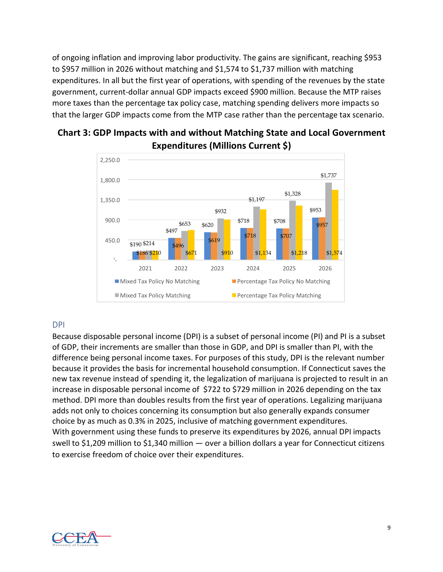of ongoing inflation and improving labor productivity. The gains are significant, reaching \$953 to \$957 million in 2026 without matching and \$1,574 to \$1,737 million with matching expenditures. In all but the first year of operations, with spending of the revenues by the state government, current-dollar annual GDP impacts exceed \$900 million. Because the MTP raises more taxes than the percentage tax policy case, matching spending delivers more impacts so that the larger GDP impacts come from the MTP case rather than the percentage tax scenario.



## **Chart 3: GDP Impacts with and without Matching State and Local Government Expenditures (Millions Current \$)**

#### DPI

Because disposable personal income (DPI) is a subset of personal income (PI) and PI is a subset of GDP, their increments are smaller than those in GDP, and DPI is smaller than PI, with the difference being personal income taxes. For purposes of this study, DPI is the relevant number because it provides the basis for incremental household consumption. If Connecticut saves the new tax revenue instead of spending it, the legalization of marijuana is projected to result in an increase in disposable personal income of \$722 to \$729 million in 2026 depending on the tax method. DPI more than doubles results from the first year of operations. Legalizing marijuana adds not only to choices concerning its consumption but also generally expands consumer choice by as much as 0.3% in 2025, inclusive of matching government expenditures. With government using these funds to preserve its expenditures by 2026, annual DPI impacts swell to \$1,209 million to \$1,340 million — over a billion dollars a year for Connecticut citizens to exercise freedom of choice over their expenditures.

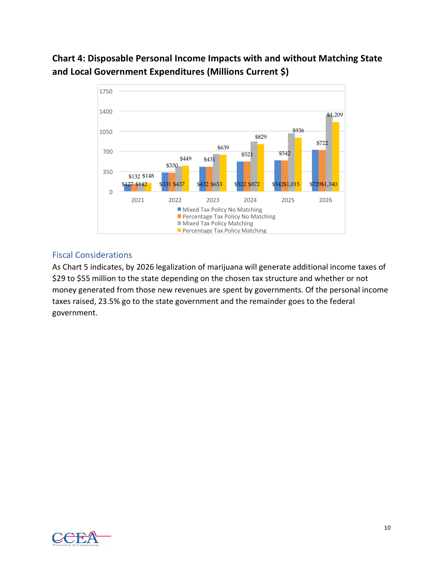## **Chart 4: Disposable Personal Income Impacts with and without Matching State and Local Government Expenditures (Millions Current \$)**



#### Fiscal Considerations

As Chart 5 indicates, by 2026 legalization of marijuana will generate additional income taxes of \$29 to \$55 million to the state depending on the chosen tax structure and whether or not money generated from those new revenues are spent by governments. Of the personal income taxes raised, 23.5% go to the state government and the remainder goes to the federal government. 

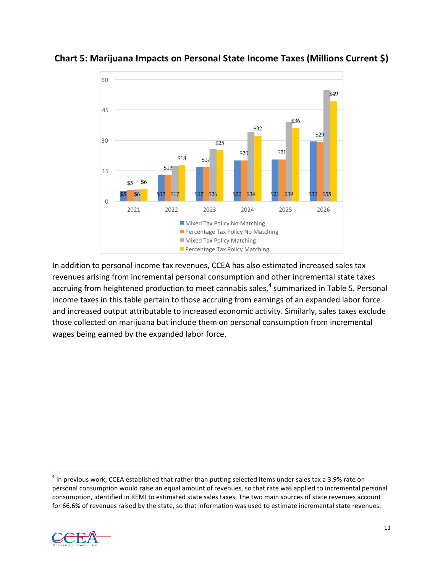

#### **Chart 5: Marijuana Impacts on Personal State Income Taxes (Millions Current \$)**

In addition to personal income tax revenues, CCEA has also estimated increased sales tax revenues arising from incremental personal consumption and other incremental state taxes accruing from heightened production to meet cannabis sales,<sup>4</sup> summarized in Table 5. Personal income taxes in this table pertain to those accruing from earnings of an expanded labor force and increased output attributable to increased economic activity. Similarly, sales taxes exclude those collected on marijuana but include them on personal consumption from incremental wages being earned by the expanded labor force.

<sup>&</sup>lt;sup>4</sup> In previous work, CCEA established that rather than putting selected items under sales tax a 3.9% rate on personal consumption would raise an equal amount of revenues, so that rate was applied to incremental personal consumption, identified in REMI to estimated state sales taxes. The two main sources of state revenues account for 66.6% of revenues raised by the state, so that information was used to estimate incremental state revenues.

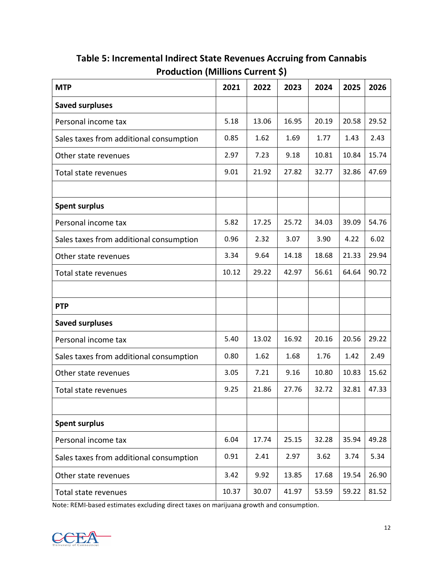| <b>MTP</b>                              | 2021  | 2022  | 2023  | 2024  | 2025  | 2026  |
|-----------------------------------------|-------|-------|-------|-------|-------|-------|
| <b>Saved surpluses</b>                  |       |       |       |       |       |       |
| Personal income tax                     | 5.18  | 13.06 | 16.95 | 20.19 | 20.58 | 29.52 |
| Sales taxes from additional consumption | 0.85  | 1.62  | 1.69  | 1.77  | 1.43  | 2.43  |
| Other state revenues                    | 2.97  | 7.23  | 9.18  | 10.81 | 10.84 | 15.74 |
| Total state revenues                    | 9.01  | 21.92 | 27.82 | 32.77 | 32.86 | 47.69 |
|                                         |       |       |       |       |       |       |
| <b>Spent surplus</b>                    |       |       |       |       |       |       |
| Personal income tax                     | 5.82  | 17.25 | 25.72 | 34.03 | 39.09 | 54.76 |
| Sales taxes from additional consumption | 0.96  | 2.32  | 3.07  | 3.90  | 4.22  | 6.02  |
| Other state revenues                    | 3.34  | 9.64  | 14.18 | 18.68 | 21.33 | 29.94 |
| Total state revenues                    | 10.12 | 29.22 | 42.97 | 56.61 | 64.64 | 90.72 |
|                                         |       |       |       |       |       |       |
| <b>PTP</b>                              |       |       |       |       |       |       |
| <b>Saved surpluses</b>                  |       |       |       |       |       |       |
| Personal income tax                     | 5.40  | 13.02 | 16.92 | 20.16 | 20.56 | 29.22 |
| Sales taxes from additional consumption | 0.80  | 1.62  | 1.68  | 1.76  | 1.42  | 2.49  |
| Other state revenues                    | 3.05  | 7.21  | 9.16  | 10.80 | 10.83 | 15.62 |
| Total state revenues                    | 9.25  | 21.86 | 27.76 | 32.72 | 32.81 | 47.33 |
|                                         |       |       |       |       |       |       |
| <b>Spent surplus</b>                    |       |       |       |       |       |       |
| Personal income tax                     | 6.04  | 17.74 | 25.15 | 32.28 | 35.94 | 49.28 |
| Sales taxes from additional consumption | 0.91  | 2.41  | 2.97  | 3.62  | 3.74  | 5.34  |
| Other state revenues                    | 3.42  | 9.92  | 13.85 | 17.68 | 19.54 | 26.90 |
| Total state revenues                    | 10.37 | 30.07 | 41.97 | 53.59 | 59.22 | 81.52 |

## **Table 5: Incremental Indirect State Revenues Accruing from Cannabis Production (Millions Current \$)**

Note: REMI-based estimates excluding direct taxes on marijuana growth and consumption.

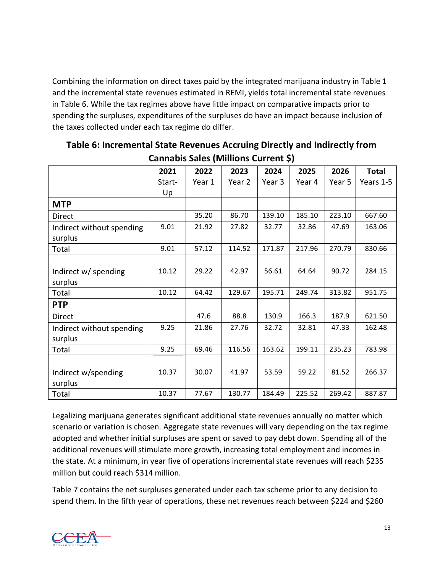Combining the information on direct taxes paid by the integrated marijuana industry in Table 1 and the incremental state revenues estimated in REMI, yields total incremental state revenues in Table 6. While the tax regimes above have little impact on comparative impacts prior to spending the surpluses, expenditures of the surpluses do have an impact because inclusion of the taxes collected under each tax regime do differ.

|                           | 2021   | 2022   | 2023   | 2024   | 2025   | 2026   | <b>Total</b> |
|---------------------------|--------|--------|--------|--------|--------|--------|--------------|
|                           | Start- | Year 1 | Year 2 | Year 3 | Year 4 | Year 5 | Years 1-5    |
|                           | Up     |        |        |        |        |        |              |
| <b>MTP</b>                |        |        |        |        |        |        |              |
| Direct                    |        | 35.20  | 86.70  | 139.10 | 185.10 | 223.10 | 667.60       |
| Indirect without spending | 9.01   | 21.92  | 27.82  | 32.77  | 32.86  | 47.69  | 163.06       |
| surplus                   |        |        |        |        |        |        |              |
| Total                     | 9.01   | 57.12  | 114.52 | 171.87 | 217.96 | 270.79 | 830.66       |
|                           |        |        |        |        |        |        |              |
| Indirect w/ spending      | 10.12  | 29.22  | 42.97  | 56.61  | 64.64  | 90.72  | 284.15       |
| surplus                   |        |        |        |        |        |        |              |
| Total                     | 10.12  | 64.42  | 129.67 | 195.71 | 249.74 | 313.82 | 951.75       |
| <b>PTP</b>                |        |        |        |        |        |        |              |
| Direct                    |        | 47.6   | 88.8   | 130.9  | 166.3  | 187.9  | 621.50       |
| Indirect without spending | 9.25   | 21.86  | 27.76  | 32.72  | 32.81  | 47.33  | 162.48       |
| surplus                   |        |        |        |        |        |        |              |
| Total                     | 9.25   | 69.46  | 116.56 | 163.62 | 199.11 | 235.23 | 783.98       |
|                           |        |        |        |        |        |        |              |
| Indirect w/spending       | 10.37  | 30.07  | 41.97  | 53.59  | 59.22  | 81.52  | 266.37       |
| surplus                   |        |        |        |        |        |        |              |
| Total                     | 10.37  | 77.67  | 130.77 | 184.49 | 225.52 | 269.42 | 887.87       |

**Table 6: Incremental State Revenues Accruing Directly and Indirectly from Cannabis Sales (Millions Current \$)**

Legalizing marijuana generates significant additional state revenues annually no matter which scenario or variation is chosen. Aggregate state revenues will vary depending on the tax regime adopted and whether initial surpluses are spent or saved to pay debt down. Spending all of the additional revenues will stimulate more growth, increasing total employment and incomes in the state. At a minimum, in year five of operations incremental state revenues will reach \$235 million but could reach \$314 million.

Table 7 contains the net surpluses generated under each tax scheme prior to any decision to spend them. In the fifth year of operations, these net revenues reach between \$224 and \$260

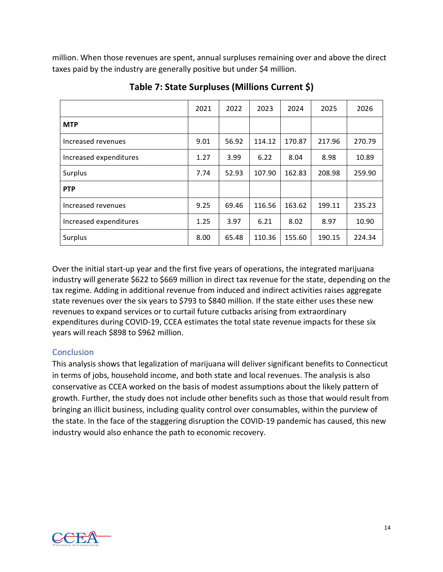million. When those revenues are spent, annual surpluses remaining over and above the direct taxes paid by the industry are generally positive but under \$4 million.

|                        | 2021 | 2022  | 2023   | 2024   | 2025   | 2026   |
|------------------------|------|-------|--------|--------|--------|--------|
| <b>MTP</b>             |      |       |        |        |        |        |
| Increased revenues     | 9.01 | 56.92 | 114.12 | 170.87 | 217.96 | 270.79 |
| Increased expenditures | 1.27 | 3.99  | 6.22   | 8.04   | 8.98   | 10.89  |
| Surplus                | 7.74 | 52.93 | 107.90 | 162.83 | 208.98 | 259.90 |
| <b>PTP</b>             |      |       |        |        |        |        |
| Increased revenues     | 9.25 | 69.46 | 116.56 | 163.62 | 199.11 | 235.23 |
| Increased expenditures | 1.25 | 3.97  | 6.21   | 8.02   | 8.97   | 10.90  |
| Surplus                | 8.00 | 65.48 | 110.36 | 155.60 | 190.15 | 224.34 |

**Table 7: State Surpluses (Millions Current \$)**

Over the initial start-up year and the first five years of operations, the integrated marijuana industry will generate \$622 to \$669 million in direct tax revenue for the state, depending on the tax regime. Adding in additional revenue from induced and indirect activities raises aggregate state revenues over the six years to \$793 to \$840 million. If the state either uses these new revenues to expand services or to curtail future cutbacks arising from extraordinary expenditures during COVID-19, CCEA estimates the total state revenue impacts for these six years will reach \$898 to \$962 million.

#### **Conclusion**

This analysis shows that legalization of marijuana will deliver significant benefits to Connecticut in terms of jobs, household income, and both state and local revenues. The analysis is also conservative as CCEA worked on the basis of modest assumptions about the likely pattern of growth. Further, the study does not include other benefits such as those that would result from bringing an illicit business, including quality control over consumables, within the purview of the state. In the face of the staggering disruption the COVID-19 pandemic has caused, this new industry would also enhance the path to economic recovery.